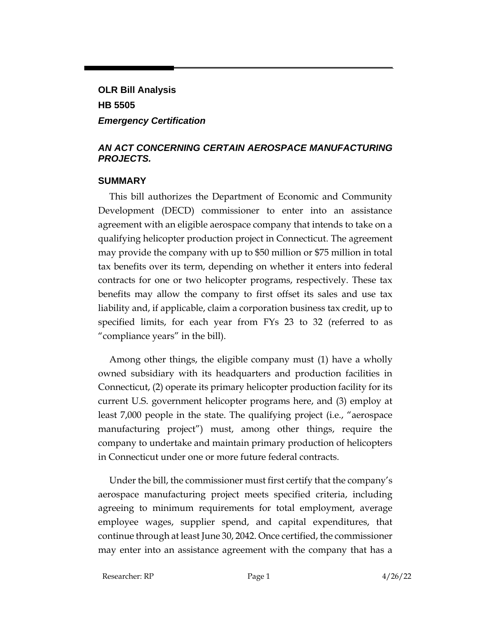# **OLR Bill Analysis HB 5505** *Emergency Certification*

#### *AN ACT CONCERNING CERTAIN AEROSPACE MANUFACTURING PROJECTS.*

#### **SUMMARY**

This bill authorizes the Department of Economic and Community Development (DECD) commissioner to enter into an assistance agreement with an eligible aerospace company that intends to take on a qualifying helicopter production project in Connecticut. The agreement may provide the company with up to \$50 million or \$75 million in total tax benefits over its term, depending on whether it enters into federal contracts for one or two helicopter programs, respectively. These tax benefits may allow the company to first offset its sales and use tax liability and, if applicable, claim a corporation business tax credit, up to specified limits, for each year from FYs 23 to 32 (referred to as "compliance years" in the bill).

Among other things, the eligible company must (1) have a wholly owned subsidiary with its headquarters and production facilities in Connecticut, (2) operate its primary helicopter production facility for its current U.S. government helicopter programs here, and (3) employ at least 7,000 people in the state. The qualifying project (i.e., "aerospace manufacturing project") must, among other things, require the company to undertake and maintain primary production of helicopters in Connecticut under one or more future federal contracts.

Under the bill, the commissioner must first certify that the company's aerospace manufacturing project meets specified criteria, including agreeing to minimum requirements for total employment, average employee wages, supplier spend, and capital expenditures, that continue through at least June 30, 2042. Once certified, the commissioner may enter into an assistance agreement with the company that has a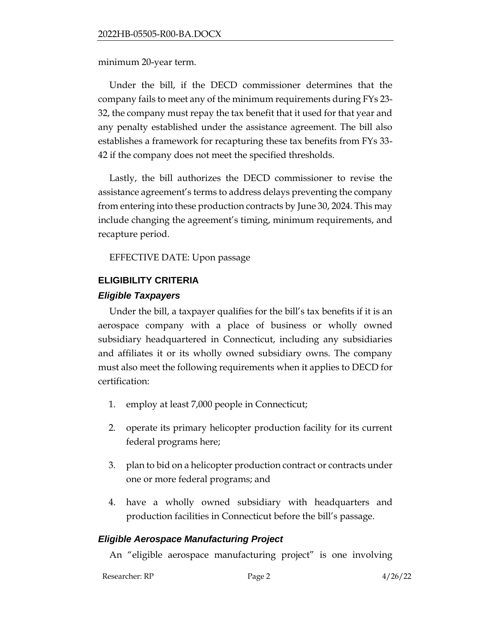minimum 20-year term.

Under the bill, if the DECD commissioner determines that the company fails to meet any of the minimum requirements during FYs 23- 32, the company must repay the tax benefit that it used for that year and any penalty established under the assistance agreement. The bill also establishes a framework for recapturing these tax benefits from FYs 33- 42 if the company does not meet the specified thresholds.

Lastly, the bill authorizes the DECD commissioner to revise the assistance agreement's terms to address delays preventing the company from entering into these production contracts by June 30, 2024. This may include changing the agreement's timing, minimum requirements, and recapture period.

EFFECTIVE DATE: Upon passage

#### **ELIGIBILITY CRITERIA**

#### *Eligible Taxpayers*

Under the bill, a taxpayer qualifies for the bill's tax benefits if it is an aerospace company with a place of business or wholly owned subsidiary headquartered in Connecticut, including any subsidiaries and affiliates it or its wholly owned subsidiary owns. The company must also meet the following requirements when it applies to DECD for certification:

- 1. employ at least 7,000 people in Connecticut;
- 2. operate its primary helicopter production facility for its current federal programs here;
- 3. plan to bid on a helicopter production contract or contracts under one or more federal programs; and
- 4. have a wholly owned subsidiary with headquarters and production facilities in Connecticut before the bill's passage.

#### *Eligible Aerospace Manufacturing Project*

An "eligible aerospace manufacturing project" is one involving

Researcher: RP Page 2 4/26/22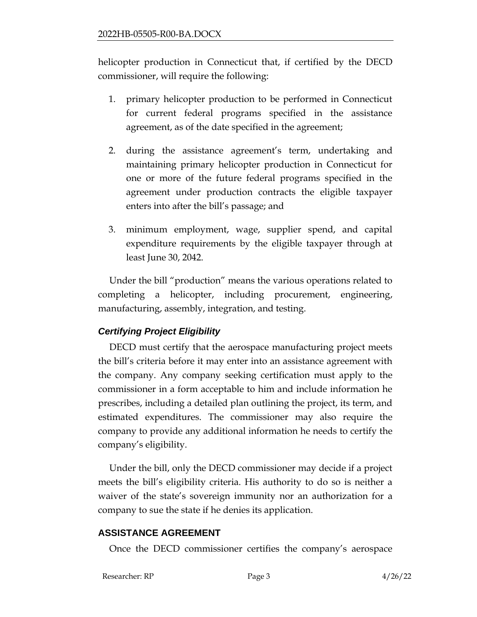helicopter production in Connecticut that, if certified by the DECD commissioner, will require the following:

- 1. primary helicopter production to be performed in Connecticut for current federal programs specified in the assistance agreement, as of the date specified in the agreement;
- 2. during the assistance agreement's term, undertaking and maintaining primary helicopter production in Connecticut for one or more of the future federal programs specified in the agreement under production contracts the eligible taxpayer enters into after the bill's passage; and
- 3. minimum employment, wage, supplier spend, and capital expenditure requirements by the eligible taxpayer through at least June 30, 2042.

Under the bill "production" means the various operations related to completing a helicopter, including procurement, engineering, manufacturing, assembly, integration, and testing.

# *Certifying Project Eligibility*

DECD must certify that the aerospace manufacturing project meets the bill's criteria before it may enter into an assistance agreement with the company. Any company seeking certification must apply to the commissioner in a form acceptable to him and include information he prescribes, including a detailed plan outlining the project, its term, and estimated expenditures. The commissioner may also require the company to provide any additional information he needs to certify the company's eligibility.

Under the bill, only the DECD commissioner may decide if a project meets the bill's eligibility criteria. His authority to do so is neither a waiver of the state's sovereign immunity nor an authorization for a company to sue the state if he denies its application.

# **ASSISTANCE AGREEMENT**

Once the DECD commissioner certifies the company's aerospace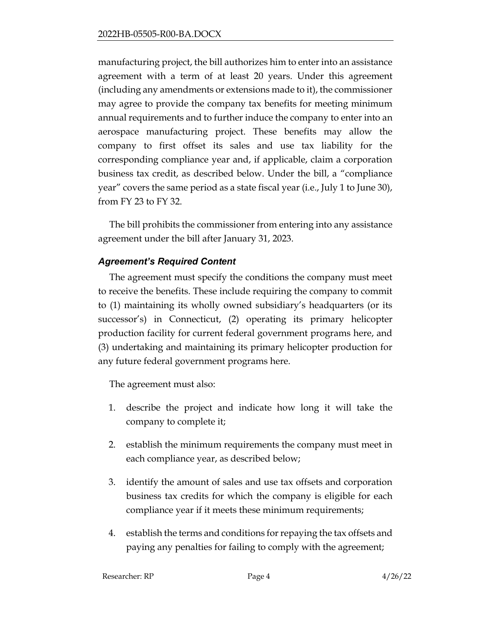manufacturing project, the bill authorizes him to enter into an assistance agreement with a term of at least 20 years. Under this agreement (including any amendments or extensions made to it), the commissioner may agree to provide the company tax benefits for meeting minimum annual requirements and to further induce the company to enter into an aerospace manufacturing project. These benefits may allow the company to first offset its sales and use tax liability for the corresponding compliance year and, if applicable, claim a corporation business tax credit, as described below. Under the bill, a "compliance year" covers the same period as a state fiscal year (i.e., July 1 to June 30), from FY 23 to FY 32.

The bill prohibits the commissioner from entering into any assistance agreement under the bill after January 31, 2023.

# *Agreement's Required Content*

The agreement must specify the conditions the company must meet to receive the benefits. These include requiring the company to commit to (1) maintaining its wholly owned subsidiary's headquarters (or its successor's) in Connecticut, (2) operating its primary helicopter production facility for current federal government programs here, and (3) undertaking and maintaining its primary helicopter production for any future federal government programs here.

The agreement must also:

- 1. describe the project and indicate how long it will take the company to complete it;
- 2. establish the minimum requirements the company must meet in each compliance year, as described below;
- 3. identify the amount of sales and use tax offsets and corporation business tax credits for which the company is eligible for each compliance year if it meets these minimum requirements;
- 4. establish the terms and conditions for repaying the tax offsets and paying any penalties for failing to comply with the agreement;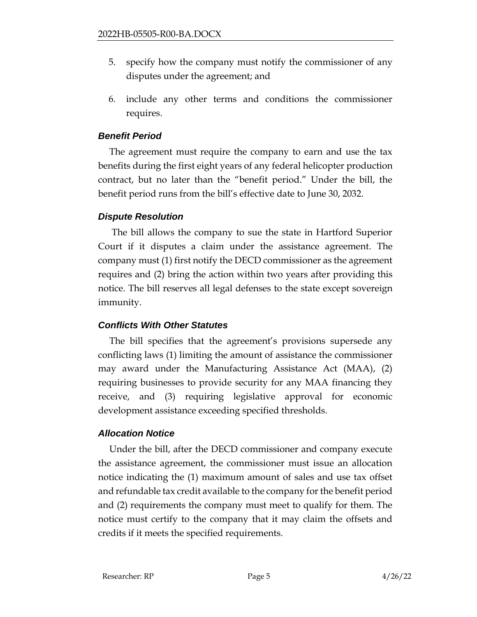- 5. specify how the company must notify the commissioner of any disputes under the agreement; and
- 6. include any other terms and conditions the commissioner requires.

# *Benefit Period*

The agreement must require the company to earn and use the tax benefits during the first eight years of any federal helicopter production contract, but no later than the "benefit period." Under the bill, the benefit period runs from the bill's effective date to June 30, 2032.

# *Dispute Resolution*

The bill allows the company to sue the state in Hartford Superior Court if it disputes a claim under the assistance agreement. The company must (1) first notify the DECD commissioner as the agreement requires and (2) bring the action within two years after providing this notice. The bill reserves all legal defenses to the state except sovereign immunity.

# *Conflicts With Other Statutes*

The bill specifies that the agreement's provisions supersede any conflicting laws (1) limiting the amount of assistance the commissioner may award under the Manufacturing Assistance Act (MAA), (2) requiring businesses to provide security for any MAA financing they receive, and (3) requiring legislative approval for economic development assistance exceeding specified thresholds.

# *Allocation Notice*

Under the bill, after the DECD commissioner and company execute the assistance agreement, the commissioner must issue an allocation notice indicating the (1) maximum amount of sales and use tax offset and refundable tax credit available to the company for the benefit period and (2) requirements the company must meet to qualify for them. The notice must certify to the company that it may claim the offsets and credits if it meets the specified requirements.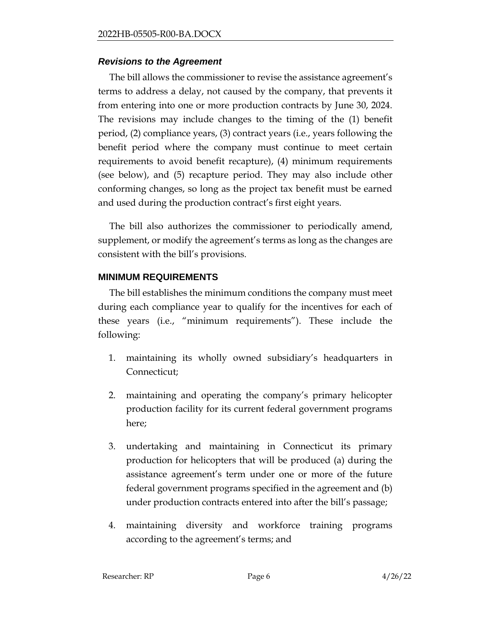#### *Revisions to the Agreement*

The bill allows the commissioner to revise the assistance agreement's terms to address a delay, not caused by the company, that prevents it from entering into one or more production contracts by June 30, 2024. The revisions may include changes to the timing of the (1) benefit period, (2) compliance years, (3) contract years (i.e., years following the benefit period where the company must continue to meet certain requirements to avoid benefit recapture), (4) minimum requirements (see below), and (5) recapture period. They may also include other conforming changes, so long as the project tax benefit must be earned and used during the production contract's first eight years.

The bill also authorizes the commissioner to periodically amend, supplement, or modify the agreement's terms as long as the changes are consistent with the bill's provisions.

# **MINIMUM REQUIREMENTS**

The bill establishes the minimum conditions the company must meet during each compliance year to qualify for the incentives for each of these years (i.e., "minimum requirements"). These include the following:

- 1. maintaining its wholly owned subsidiary's headquarters in Connecticut;
- 2. maintaining and operating the company's primary helicopter production facility for its current federal government programs here;
- 3. undertaking and maintaining in Connecticut its primary production for helicopters that will be produced (a) during the assistance agreement's term under one or more of the future federal government programs specified in the agreement and (b) under production contracts entered into after the bill's passage;
- 4. maintaining diversity and workforce training programs according to the agreement's terms; and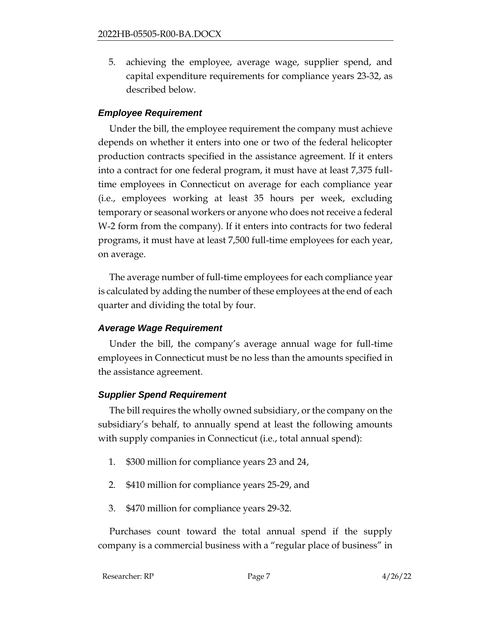5. achieving the employee, average wage, supplier spend, and capital expenditure requirements for compliance years 23-32, as described below.

# *Employee Requirement*

Under the bill, the employee requirement the company must achieve depends on whether it enters into one or two of the federal helicopter production contracts specified in the assistance agreement. If it enters into a contract for one federal program, it must have at least 7,375 fulltime employees in Connecticut on average for each compliance year (i.e., employees working at least 35 hours per week, excluding temporary or seasonal workers or anyone who does not receive a federal W-2 form from the company). If it enters into contracts for two federal programs, it must have at least 7,500 full-time employees for each year, on average.

The average number of full-time employees for each compliance year is calculated by adding the number of these employees at the end of each quarter and dividing the total by four.

# *Average Wage Requirement*

Under the bill, the company's average annual wage for full-time employees in Connecticut must be no less than the amounts specified in the assistance agreement.

# *Supplier Spend Requirement*

The bill requires the wholly owned subsidiary, or the company on the subsidiary's behalf, to annually spend at least the following amounts with supply companies in Connecticut (i.e., total annual spend):

- 1. \$300 million for compliance years 23 and 24,
- 2. \$410 million for compliance years 25-29, and
- 3. \$470 million for compliance years 29-32.

Purchases count toward the total annual spend if the supply company is a commercial business with a "regular place of business" in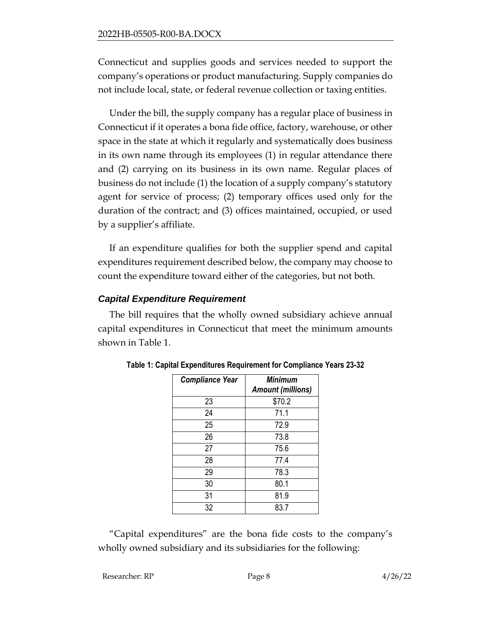Connecticut and supplies goods and services needed to support the company's operations or product manufacturing. Supply companies do not include local, state, or federal revenue collection or taxing entities.

Under the bill, the supply company has a regular place of business in Connecticut if it operates a bona fide office, factory, warehouse, or other space in the state at which it regularly and systematically does business in its own name through its employees (1) in regular attendance there and (2) carrying on its business in its own name. Regular places of business do not include (1) the location of a supply company's statutory agent for service of process; (2) temporary offices used only for the duration of the contract; and (3) offices maintained, occupied, or used by a supplier's affiliate.

If an expenditure qualifies for both the supplier spend and capital expenditures requirement described below, the company may choose to count the expenditure toward either of the categories, but not both.

# *Capital Expenditure Requirement*

The bill requires that the wholly owned subsidiary achieve annual capital expenditures in Connecticut that meet the minimum amounts shown in Table 1.

| <b>Compliance Year</b> | <b>Minimum</b><br><b>Amount (millions)</b> |
|------------------------|--------------------------------------------|
| 23                     | \$70.2                                     |
| 24                     | 71.1                                       |
| 25                     | 72.9                                       |
| 26                     | 73.8                                       |
| 27                     | 75.6                                       |
| 28                     | 77.4                                       |
| 29                     | 78.3                                       |
| 30                     | 80.1                                       |
| 31                     | 81.9                                       |
| 32                     | 83.7                                       |

**Table 1: Capital Expenditures Requirement for Compliance Years 23-32**

"Capital expenditures" are the bona fide costs to the company's wholly owned subsidiary and its subsidiaries for the following:

```
Researcher: RP Page 8 4/26/22
```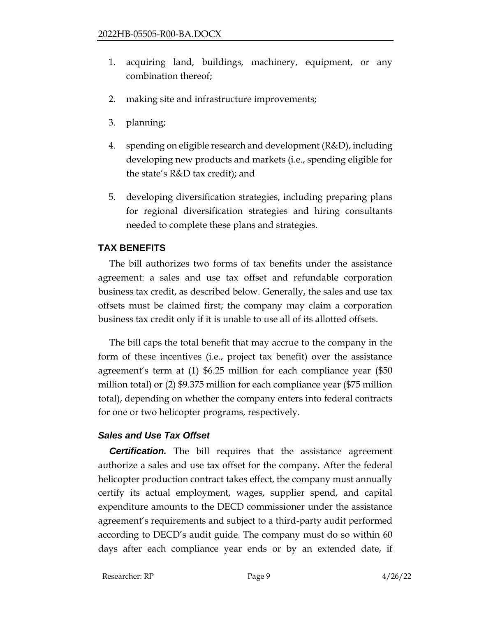- 1. acquiring land, buildings, machinery, equipment, or any combination thereof;
- 2. making site and infrastructure improvements;
- 3. planning;
- 4. spending on eligible research and development (R&D), including developing new products and markets (i.e., spending eligible for the state's R&D tax credit); and
- 5. developing diversification strategies, including preparing plans for regional diversification strategies and hiring consultants needed to complete these plans and strategies.

# **TAX BENEFITS**

The bill authorizes two forms of tax benefits under the assistance agreement: a sales and use tax offset and refundable corporation business tax credit, as described below. Generally, the sales and use tax offsets must be claimed first; the company may claim a corporation business tax credit only if it is unable to use all of its allotted offsets.

The bill caps the total benefit that may accrue to the company in the form of these incentives (i.e., project tax benefit) over the assistance agreement's term at (1) \$6.25 million for each compliance year (\$50 million total) or (2) \$9.375 million for each compliance year (\$75 million total), depending on whether the company enters into federal contracts for one or two helicopter programs, respectively.

# *Sales and Use Tax Offset*

**Certification.** The bill requires that the assistance agreement authorize a sales and use tax offset for the company. After the federal helicopter production contract takes effect, the company must annually certify its actual employment, wages, supplier spend, and capital expenditure amounts to the DECD commissioner under the assistance agreement's requirements and subject to a third-party audit performed according to DECD's audit guide. The company must do so within 60 days after each compliance year ends or by an extended date, if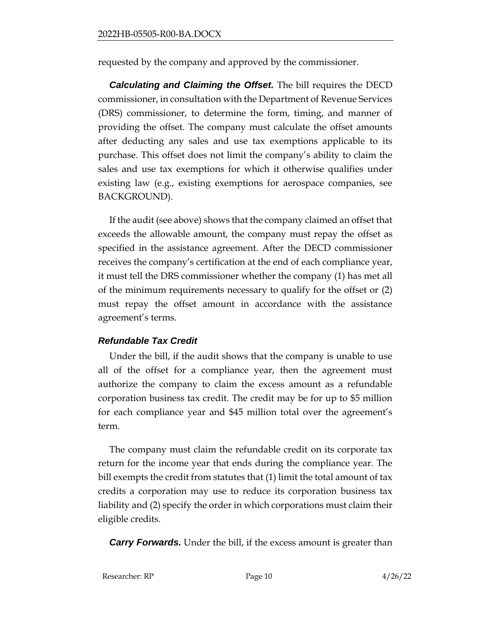requested by the company and approved by the commissioner.

*Calculating and Claiming the Offset.* The bill requires the DECD commissioner, in consultation with the Department of Revenue Services (DRS) commissioner, to determine the form, timing, and manner of providing the offset. The company must calculate the offset amounts after deducting any sales and use tax exemptions applicable to its purchase. This offset does not limit the company's ability to claim the sales and use tax exemptions for which it otherwise qualifies under existing law (e.g., existing exemptions for aerospace companies, see BACKGROUND).

If the audit (see above) shows that the company claimed an offset that exceeds the allowable amount, the company must repay the offset as specified in the assistance agreement. After the DECD commissioner receives the company's certification at the end of each compliance year, it must tell the DRS commissioner whether the company (1) has met all of the minimum requirements necessary to qualify for the offset or (2) must repay the offset amount in accordance with the assistance agreement's terms.

# *Refundable Tax Credit*

Under the bill, if the audit shows that the company is unable to use all of the offset for a compliance year, then the agreement must authorize the company to claim the excess amount as a refundable corporation business tax credit. The credit may be for up to \$5 million for each compliance year and \$45 million total over the agreement's term.

The company must claim the refundable credit on its corporate tax return for the income year that ends during the compliance year. The bill exempts the credit from statutes that (1) limit the total amount of tax credits a corporation may use to reduce its corporation business tax liability and (2) specify the order in which corporations must claim their eligible credits.

*Carry Forwards.* Under the bill, if the excess amount is greater than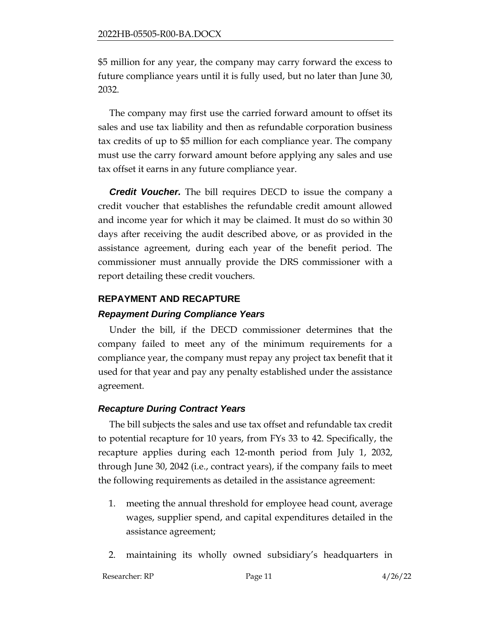\$5 million for any year, the company may carry forward the excess to future compliance years until it is fully used, but no later than June 30, 2032.

The company may first use the carried forward amount to offset its sales and use tax liability and then as refundable corporation business tax credits of up to \$5 million for each compliance year. The company must use the carry forward amount before applying any sales and use tax offset it earns in any future compliance year.

*Credit Voucher.* The bill requires DECD to issue the company a credit voucher that establishes the refundable credit amount allowed and income year for which it may be claimed. It must do so within 30 days after receiving the audit described above, or as provided in the assistance agreement, during each year of the benefit period. The commissioner must annually provide the DRS commissioner with a report detailing these credit vouchers.

# **REPAYMENT AND RECAPTURE**

#### *Repayment During Compliance Years*

Under the bill, if the DECD commissioner determines that the company failed to meet any of the minimum requirements for a compliance year, the company must repay any project tax benefit that it used for that year and pay any penalty established under the assistance agreement.

# *Recapture During Contract Years*

The bill subjects the sales and use tax offset and refundable tax credit to potential recapture for 10 years, from FYs 33 to 42. Specifically, the recapture applies during each 12-month period from July 1, 2032, through June 30, 2042 (i.e., contract years), if the company fails to meet the following requirements as detailed in the assistance agreement:

- 1. meeting the annual threshold for employee head count, average wages, supplier spend, and capital expenditures detailed in the assistance agreement;
- 2. maintaining its wholly owned subsidiary's headquarters in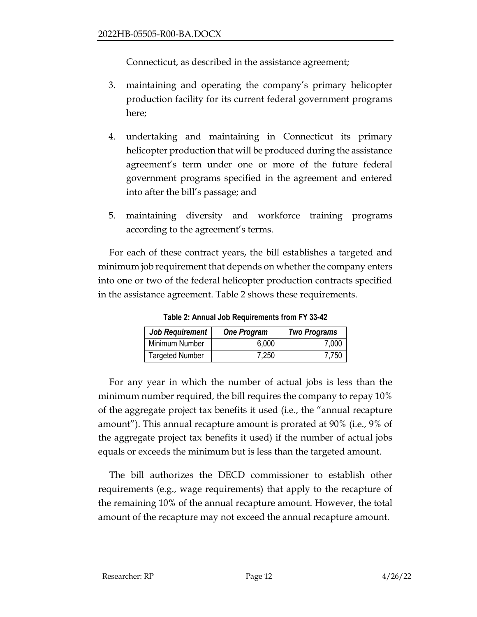Connecticut, as described in the assistance agreement;

- 3. maintaining and operating the company's primary helicopter production facility for its current federal government programs here;
- 4. undertaking and maintaining in Connecticut its primary helicopter production that will be produced during the assistance agreement's term under one or more of the future federal government programs specified in the agreement and entered into after the bill's passage; and
- 5. maintaining diversity and workforce training programs according to the agreement's terms.

For each of these contract years, the bill establishes a targeted and minimum job requirement that depends on whether the company enters into one or two of the federal helicopter production contracts specified in the assistance agreement. Table 2 shows these requirements.

| <b>Job Requirement</b> | <b>One Program</b> | <b>Two Programs</b> |
|------------------------|--------------------|---------------------|
| Minimum Number         | 6,000              | 7.000               |
| <b>Targeted Number</b> | 7,250              | 7.750               |

**Table 2: Annual Job Requirements from FY 33-42**

For any year in which the number of actual jobs is less than the minimum number required, the bill requires the company to repay 10% of the aggregate project tax benefits it used (i.e., the "annual recapture amount"). This annual recapture amount is prorated at 90% (i.e., 9% of the aggregate project tax benefits it used) if the number of actual jobs equals or exceeds the minimum but is less than the targeted amount.

The bill authorizes the DECD commissioner to establish other requirements (e.g., wage requirements) that apply to the recapture of the remaining 10% of the annual recapture amount. However, the total amount of the recapture may not exceed the annual recapture amount.